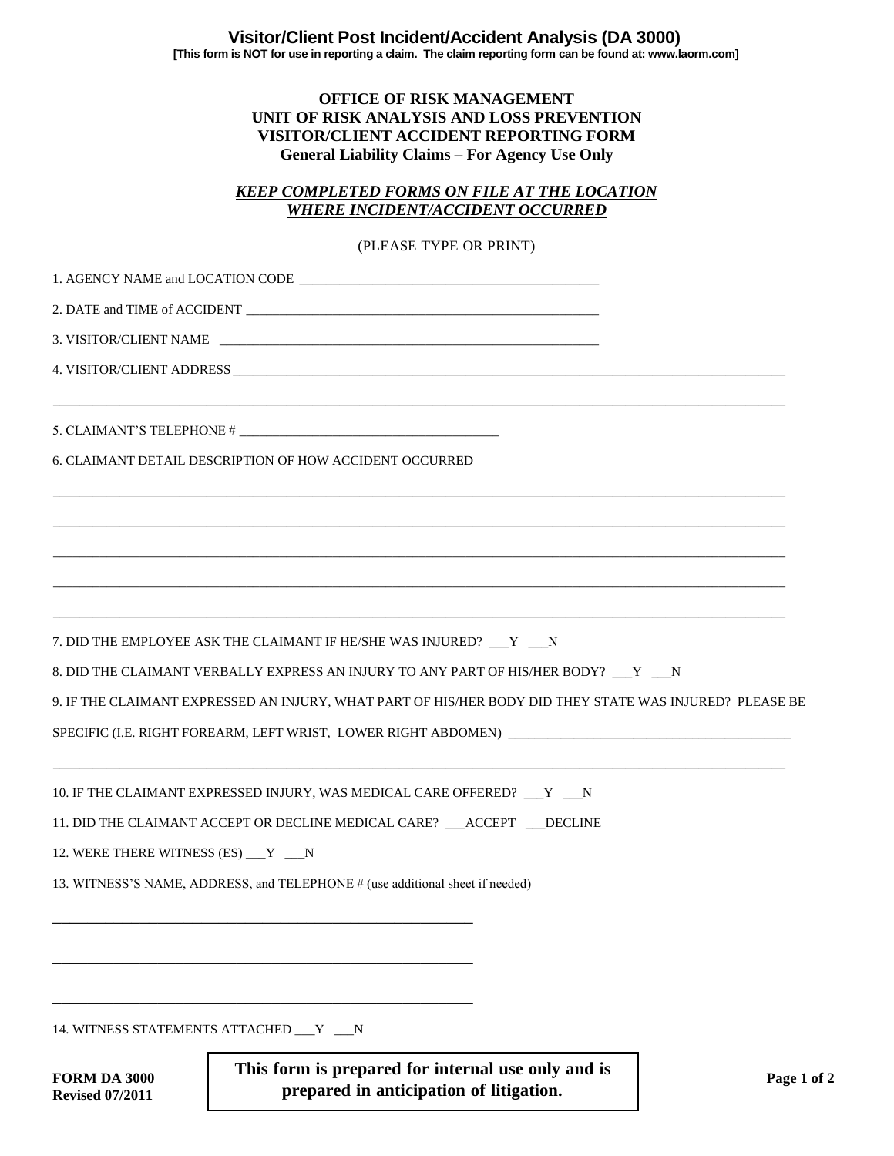## **OFFICE OF RISK MANAGEMENT UNIT OF RISK ANALYSIS AND LOSS PREVENTION VISITOR/CLIENT ACCIDENT REPORTING FORM General Liability Claims – For Agency Use Only**

## *KEEP COMPLETED FORMS ON FILE AT THE LOCATION WHERE INCIDENT/ACCIDENT OCCURRED*

## (PLEASE TYPE OR PRINT)

|                                               | 6. CLAIMANT DETAIL DESCRIPTION OF HOW ACCIDENT OCCURRED                                                                                                |             |
|-----------------------------------------------|--------------------------------------------------------------------------------------------------------------------------------------------------------|-------------|
|                                               |                                                                                                                                                        |             |
|                                               | 7. DID THE EMPLOYEE ASK THE CLAIMANT IF HE/SHE WAS INJURED? Y N<br>8. DID THE CLAIMANT VERBALLY EXPRESS AN INJURY TO ANY PART OF HIS/HER BODY? __Y __N |             |
|                                               | 9. IF THE CLAIMANT EXPRESSED AN INJURY, WHAT PART OF HIS/HER BODY DID THEY STATE WAS INJURED? PLEASE BE                                                |             |
|                                               |                                                                                                                                                        |             |
|                                               | 10. IF THE CLAIMANT EXPRESSED INJURY, WAS MEDICAL CARE OFFERED? __Y __N                                                                                |             |
|                                               | 11. DID THE CLAIMANT ACCEPT OR DECLINE MEDICAL CARE? __ACCEPT __ DECLINE                                                                               |             |
| 12. WERE THERE WITNESS (ES) __ Y __ N         |                                                                                                                                                        |             |
|                                               | 13. WITNESS'S NAME, ADDRESS, and TELEPHONE # (use additional sheet if needed)                                                                          |             |
|                                               |                                                                                                                                                        |             |
|                                               | 14. WITNESS STATEMENTS ATTACHED __ Y __ N                                                                                                              |             |
| <b>FORM DA 3000</b><br><b>Revised 07/2011</b> | This form is prepared for internal use only and is<br>prepared in anticipation of litigation.                                                          | Page 1 of 2 |

**Revised 07/2011**